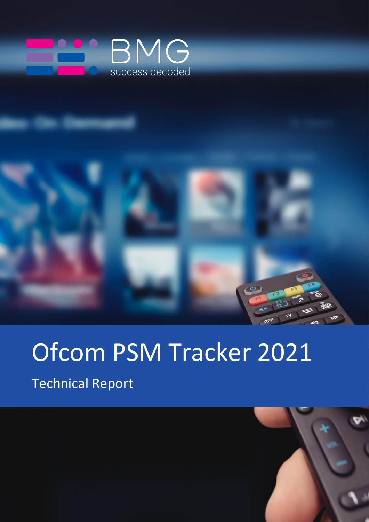

# Ofcom PSM Tracker 2021

Technical Report

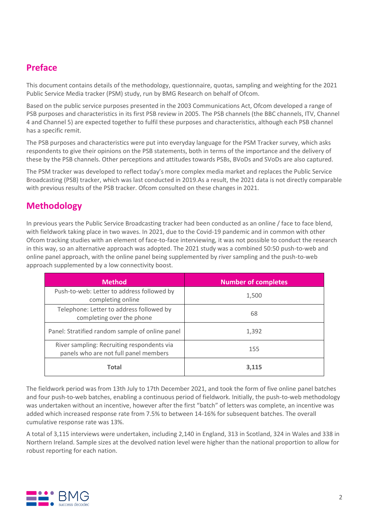## **Preface**

This document contains details of the methodology, questionnaire, quotas, sampling and weighting for the 2021 Public Service Media tracker (PSM) study, run by BMG Research on behalf of Ofcom.

Based on the public service purposes presented in the 2003 Communications Act, Ofcom developed a range of PSB purposes and characteristics in its first PSB review in 2005. The PSB channels (the BBC channels, ITV, Channel 4 and Channel 5) are expected together to fulfil these purposes and characteristics, although each PSB channel has a specific remit.

The PSB purposes and characteristics were put into everyday language for the PSM Tracker survey, which asks respondents to give their opinions on the PSB statements, both in terms of the importance and the delivery of these by the PSB channels. Other perceptions and attitudes towards PSBs, BVoDs and SVoDs are also captured.

The PSM tracker was developed to reflect today's more complex media market and replaces the Public Service Broadcasting (PSB) tracker, which was last conducted in 2019.As a result, the 2021 data is not directly comparable with previous results of the PSB tracker. Ofcom consulted on these changes in 2021.

# **Methodology**

In previous years the Public Service Broadcasting tracker had been conducted as an online / face to face blend, with fieldwork taking place in two waves. In 2021, due to the Covid-19 pandemic and in common with other Ofcom tracking studies with an element of face-to-face interviewing, it was not possible to conduct the research in this way, so an alternative approach was adopted. The 2021 study was a combined 50:50 push-to-web and online panel approach, with the online panel being supplemented by river sampling and the push-to-web approach supplemented by a low connectivity boost.

| <b>Method</b>                                                                       | <b>Number of completes</b> |
|-------------------------------------------------------------------------------------|----------------------------|
| Push-to-web: Letter to address followed by<br>completing online                     | 1,500                      |
| Telephone: Letter to address followed by<br>completing over the phone               | 68                         |
| Panel: Stratified random sample of online panel                                     | 1,392                      |
| River sampling: Recruiting respondents via<br>panels who are not full panel members | 155                        |
| <b>Total</b>                                                                        | 3.115                      |

The fieldwork period was from 13th July to 17th December 2021, and took the form of five online panel batches and four push-to-web batches, enabling a continuous period of fieldwork. Initially, the push-to-web methodology was undertaken without an incentive, however after the first "batch" of letters was complete, an incentive was added which increased response rate from 7.5% to between 14-16% for subsequent batches. The overall cumulative response rate was 13%.

A total of 3,115 interviews were undertaken, including 2,140 in England, 313 in Scotland, 324 in Wales and 338 in Northern Ireland. Sample sizes at the devolved nation level were higher than the national proportion to allow for robust reporting for each nation.

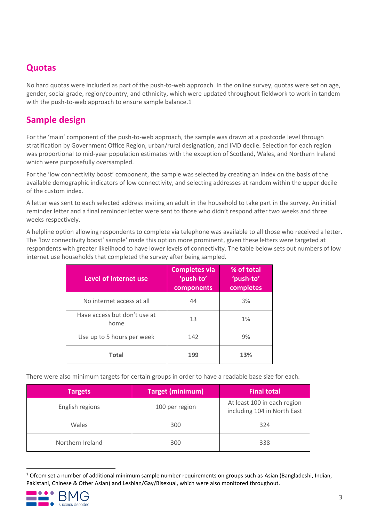#### **Quotas**

No hard quotas were included as part of the push-to-web approach. In the online survey, quotas were set on age, gender, social grade, region/country, and ethnicity, which were updated throughout fieldwork to work in tandem with the push-to-web approach to ensure sample balance.1

## **Sample design**

For the 'main' component of the push-to-web approach, the sample was drawn at a postcode level through stratification by Government Office Region, urban/rural designation, and IMD decile. Selection for each region was proportional to mid-year population estimates with the exception of Scotland, Wales, and Northern Ireland which were purposefully oversampled.

For the 'low connectivity boost' component, the sample was selected by creating an index on the basis of the available demographic indicators of low connectivity, and selecting addresses at random within the upper decile of the custom index.

A letter was sent to each selected address inviting an adult in the household to take part in the survey. An initial reminder letter and a final reminder letter were sent to those who didn't respond after two weeks and three weeks respectively.

A helpline option allowing respondents to complete via telephone was available to all those who received a letter. The 'low connectivity boost' sample' made this option more prominent, given these letters were targeted at respondents with greater likelihood to have lower levels of connectivity. The table below sets out numbers of low internet use households that completed the survey after being sampled.

| Level of internet use                | <b>Completes via</b><br>'push-to'<br>components | % of total<br>'push-to'<br>completes |
|--------------------------------------|-------------------------------------------------|--------------------------------------|
| No internet access at all            | 44                                              | 3%                                   |
| Have access but don't use at<br>home | 13                                              | 1%                                   |
| Use up to 5 hours per week           | 142                                             | 9%                                   |
| <b>Total</b>                         | 199                                             | 13%                                  |

There were also minimum targets for certain groups in order to have a readable base size for each.

| <b>Targets</b>   | <b>Target (minimum)</b> | <b>Final total</b>                                         |
|------------------|-------------------------|------------------------------------------------------------|
| English regions  | 100 per region          | At least 100 in each region<br>including 104 in North East |
| Wales            | 300                     | 324                                                        |
| Northern Ireland | 300                     | 338                                                        |

 $1$  Ofcom set a number of additional minimum sample number requirements on groups such as Asian (Bangladeshi, Indian, Pakistani, Chinese & Other Asian) and Lesbian/Gay/Bisexual, which were also monitored throughout.

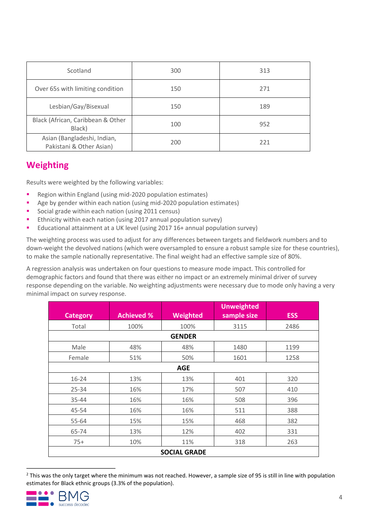| Scotland                                                | 300 | 313 |
|---------------------------------------------------------|-----|-----|
| Over 65s with limiting condition                        | 150 | 271 |
| Lesbian/Gay/Bisexual                                    | 150 | 189 |
| Black (African, Caribbean & Other<br>Black)             | 100 | 952 |
| Asian (Bangladeshi, Indian,<br>Pakistani & Other Asian) | 200 | 221 |

# **Weighting**

Results were weighted by the following variables:

- Region within England (using mid-2020 population estimates)
- Age by gender within each nation (using mid-2020 population estimates)
- Social grade within each nation (using 2011 census)
- Ethnicity within each nation (using 2017 annual population survey)
- Educational attainment at a UK level (using 2017 16+ annual population survey)

The weighting process was used to adjust for any differences between targets and fieldwork numbers and to down-weight the devolved nations (which were oversampled to ensure a robust sample size for these countries), to make the sample nationally representative. The final weight had an effective sample size of 80%.

A regression analysis was undertaken on four questions to measure mode impact. This controlled for demographic factors and found that there was either no impact or an extremely minimal driver of survey response depending on the variable. No weighting adjustments were necessary due to mode only having a very minimal impact on survey response.

| <b>Category</b>     | <b>Achieved %</b> | Weighted      | <b>Unweighted</b><br>sample size | <b>ESS</b> |  |
|---------------------|-------------------|---------------|----------------------------------|------------|--|
| Total               | 100%              | 100%          | 3115                             | 2486       |  |
|                     |                   | <b>GENDER</b> |                                  |            |  |
| Male                | 48%               | 48%           | 1480                             | 1199       |  |
| Female              | 51%               | 50%           | 1601                             | 1258       |  |
|                     |                   | <b>AGE</b>    |                                  |            |  |
| $16 - 24$           | 13%               | 13%           | 401                              | 320        |  |
| $25 - 34$           | 16%               | 17%           | 507                              | 410        |  |
| 35-44               | 16%               | 16%           | 508                              | 396        |  |
| 45-54               | 16%               | 16%           | 511                              | 388        |  |
| 55-64               | 15%               | 15%           | 468                              | 382        |  |
| 65-74               | 13%               | 12%           | 402                              | 331        |  |
| $75+$               | 10%               | 11%           | 318                              | 263        |  |
| <b>SOCIAL GRADE</b> |                   |               |                                  |            |  |

<sup>&</sup>lt;sup>2</sup> This was the only target where the minimum was not reached. However, a sample size of 95 is still in line with population estimates for Black ethnic groups (3.3% of the population).

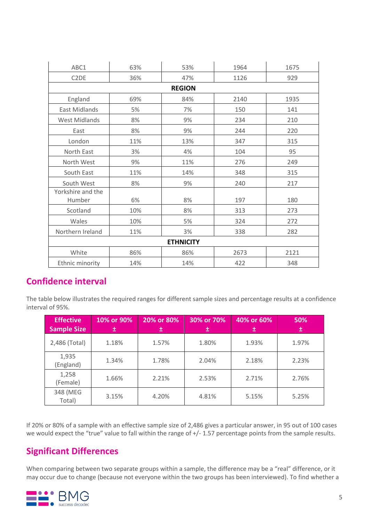| ABC1                          | 63% | 53%           | 1964 | 1675 |  |
|-------------------------------|-----|---------------|------|------|--|
| C <sub>2</sub> D <sub>E</sub> | 36% | 47%           | 1126 | 929  |  |
|                               |     | <b>REGION</b> |      |      |  |
| England                       | 69% | 84%           | 2140 | 1935 |  |
| East Midlands                 | 5%  | 7%            | 150  | 141  |  |
| <b>West Midlands</b>          | 8%  | 9%            | 234  | 210  |  |
| East                          | 8%  | 9%            | 244  | 220  |  |
| London                        | 11% | 13%           | 347  | 315  |  |
| North East                    | 3%  | 4%            | 104  | 95   |  |
| North West                    | 9%  | 11%           | 276  | 249  |  |
| South East                    | 11% | 14%           | 348  | 315  |  |
| South West                    | 8%  | 9%            | 240  | 217  |  |
| Yorkshire and the             |     |               |      |      |  |
| Humber                        | 6%  | 8%            | 197  | 180  |  |
| Scotland                      | 10% | 8%            | 313  | 273  |  |
| Wales                         | 10% | 5%            | 324  | 272  |  |
| Northern Ireland              | 11% | 3%            | 338  | 282  |  |
| <b>ETHNICITY</b>              |     |               |      |      |  |
| White                         | 86% | 86%           | 2673 | 2121 |  |
| Ethnic minority               | 14% | 14%           | 422  | 348  |  |
|                               |     |               |      |      |  |

#### **Confidence interval**

The table below illustrates the required ranges for different sample sizes and percentage results at a confidence interval of 95%.

| <b>Effective</b><br><b>Sample Size</b> | 10% or 90%<br>士 | 20% or 80% | 30% or 70%<br>士 | 40% or 60%<br>士 | 50%<br>士 |
|----------------------------------------|-----------------|------------|-----------------|-----------------|----------|
| 2,486 (Total)                          | 1.18%           | 1.57%      | 1.80%           | 1.93%           | 1.97%    |
| 1,935<br>(England)                     | 1.34%           | 1.78%      | 2.04%           | 2.18%           | 2.23%    |
| 1,258<br>(Female)                      | 1.66%           | 2.21%      | 2.53%           | 2.71%           | 2.76%    |
| 348 (MEG<br>Total)                     | 3.15%           | 4.20%      | 4.81%           | 5.15%           | 5.25%    |

If 20% or 80% of a sample with an effective sample size of 2,486 gives a particular answer, in 95 out of 100 cases we would expect the "true" value to fall within the range of +/- 1.57 percentage points from the sample results.

#### **Significant Differences**

When comparing between two separate groups within a sample, the difference may be a "real" difference, or it may occur due to change (because not everyone within the two groups has been interviewed). To find whether a

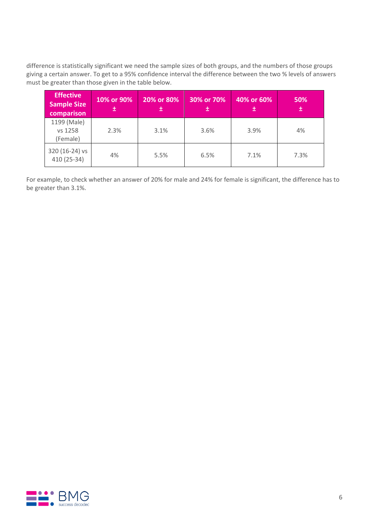difference is statistically significant we need the sample sizes of both groups, and the numbers of those groups giving a certain answer. To get to a 95% confidence interval the difference between the two % levels of answers must be greater than those given in the table below.

| <b>Effective</b><br><b>Sample Size</b><br>comparison | 10% or 90%<br>士 | 20% or 80%<br>土 | 30% or 70%<br>土 | 40% or 60%<br>土 | 50%<br>Œ |
|------------------------------------------------------|-----------------|-----------------|-----------------|-----------------|----------|
| 1199 (Male)<br>vs 1258<br>(Female)                   | 2.3%            | 3.1%            | 3.6%            | 3.9%            | 4%       |
| 320 (16-24) vs<br>410 (25-34)                        | 4%              | 5.5%            | 6.5%            | 7.1%            | 7.3%     |

For example, to check whether an answer of 20% for male and 24% for female is significant, the difference has to be greater than 3.1%.

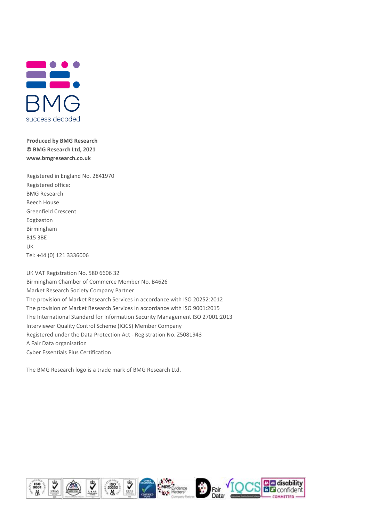

**Produced by BMG Research © BMG Research Ltd, 2021 www.bmgresearch.co.uk**

Registered in England No. 2841970 Registered office: BMG Research Beech House Greenfield Crescent Edgbaston Birmingham B15 3BE UK Tel: +44 (0) 121 3336006

UK VAT Registration No. 580 6606 32 Birmingham Chamber of Commerce Member No. B4626 Market Research Society Company Partner The provision of Market Research Services in accordance with ISO 20252:2012 The provision of Market Research Services in accordance with ISO 9001:2015 The International Standard for Information Security Management ISO 27001:2013 Interviewer Quality Control Scheme (IQCS) Member Company Registered under the Data Protection Act - Registration No. Z5081943 A Fair Data organisation Cyber Essentials Plus Certification

The BMG Research logo is a trade mark of BMG Research Ltd.